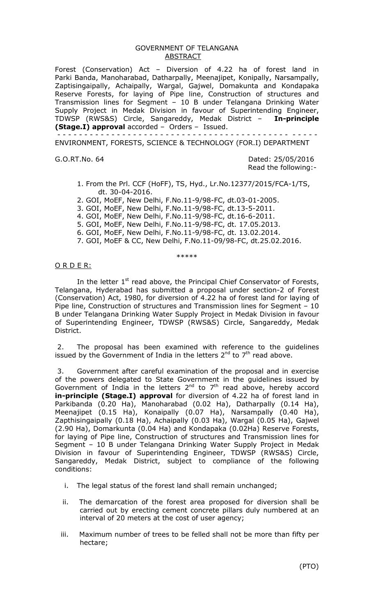## GOVERNMENT OF TELANGANA ABSTRACT

Forest (Conservation) Act – Diversion of 4.22 ha of forest land in Parki Banda, Manoharabad, Datharpally, Meenajipet, Konipally, Narsampally, Zaptisingaipally, Achaipally, Wargal, Gajwel, Domakunta and Kondapaka Reserve Forests, for laying of Pipe line, Construction of structures and Transmission lines for Segment – 10 B under Telangana Drinking Water Supply Project in Medak Division in favour of Superintending Engineer, TDWSP (RWS&S) Circle, Sangareddy, Medak District – **In-principle (Stage.I) approval** accorded – Orders – Issued.

 - - - - - - - - - - - - - - - - - - - - - - - - - - - - - - - - - - - - - - - - - - - - - - - - ENVIRONMENT, FORESTS, SCIENCE & TECHNOLOGY (FOR.I) DEPARTMENT

G.O.RT.No. 64 Dated: 25/05/2016 Read the following:-

1. From the Prl. CCF (HoFF), TS, Hyd., Lr.No.12377/2015/FCA-1/TS, dt. 30-04-2016.

2. GOI, MoEF, New Delhi, F.No.11-9/98-FC, dt.03-01-2005.

3. GOI, MoEF, New Delhi, F.No.11-9/98-FC, dt.13-5-2011.

4. GOI, MoEF, New Delhi, F.No.11-9/98-FC, dt.16-6-2011.

5. GOI, MoEF, New Delhi, F.No.11-9/98-FC, dt. 17.05.2013.

6. GOI, MoEF, New Delhi, F.No.11-9/98-FC, dt. 13.02.2014.

7. GOI, MoEF & CC, New Delhi, F.No.11-09/98-FC, dt.25.02.2016.

## \*\*\*\*\*

O R D E R:

In the letter  $1<sup>st</sup>$  read above, the Principal Chief Conservator of Forests, Telangana, Hyderabad has submitted a proposal under section-2 of Forest (Conservation) Act, 1980, for diversion of 4.22 ha of forest land for laying of Pipe line, Construction of structures and Transmission lines for Segment – 10 B under Telangana Drinking Water Supply Project in Medak Division in favour of Superintending Engineer, TDWSP (RWS&S) Circle, Sangareddy, Medak District.

 2. The proposal has been examined with reference to the guidelines issued by the Government of India in the letters  $2^{nd}$  to  $7^{th}$  read above.

 3. Government after careful examination of the proposal and in exercise of the powers delegated to State Government in the guidelines issued by Government of India in the letters  $2^{nd}$  to  $7^{th}$  read above, hereby accord **in-principle (Stage.I) approval** for diversion of 4.22 ha of forest land in Parkibanda (0.20 Ha), Manoharabad (0.02 Ha), Datharpally (0.14 Ha), Meenajipet (0.15 Ha), Konaipally (0.07 Ha), Narsampally (0.40 Ha), Zapthisingaipally (0.18 Ha), Achaipally (0.03 Ha), Wargal (0.05 Ha), Gajwel (2.90 Ha), Domarkunta (0.04 Ha) and Kondapaka (0.02Ha) Reserve Forests, for laying of Pipe line, Construction of structures and Transmission lines for Segment – 10 B under Telangana Drinking Water Supply Project in Medak Division in favour of Superintending Engineer, TDWSP (RWS&S) Circle, Sangareddy, Medak District, subject to compliance of the following conditions:

- i. The legal status of the forest land shall remain unchanged;
- ii. The demarcation of the forest area proposed for diversion shall be carried out by erecting cement concrete pillars duly numbered at an interval of 20 meters at the cost of user agency;
- iii. Maximum number of trees to be felled shall not be more than fifty per hectare;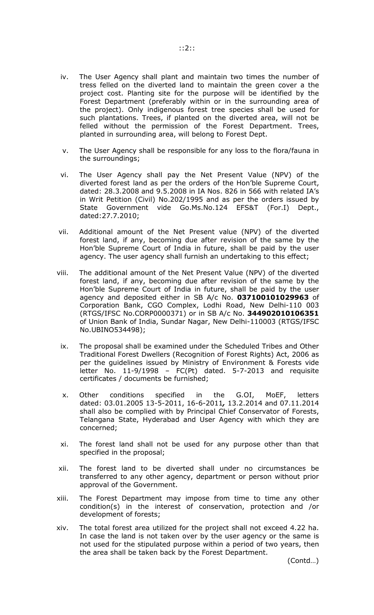- iv. The User Agency shall plant and maintain two times the number of tress felled on the diverted land to maintain the green cover a the project cost. Planting site for the purpose will be identified by the Forest Department (preferably within or in the surrounding area of the project). Only indigenous forest tree species shall be used for such plantations. Trees, if planted on the diverted area, will not be felled without the permission of the Forest Department. Trees, planted in surrounding area, will belong to Forest Dept.
- v. The User Agency shall be responsible for any loss to the flora/fauna in the surroundings;
- vi. The User Agency shall pay the Net Present Value (NPV) of the diverted forest land as per the orders of the Hon'ble Supreme Court, dated: 28.3.2008 and 9.5.2008 in IA Nos. 826 in 566 with related IA's in Writ Petition (Civil) No.202/1995 and as per the orders issued by State Government vide Go.Ms.No.124 EFS&T (For.I) Dept., dated:27.7.2010;
- vii. Additional amount of the Net Present value (NPV) of the diverted forest land, if any, becoming due after revision of the same by the Hon'ble Supreme Court of India in future, shall be paid by the user agency. The user agency shall furnish an undertaking to this effect;
- viii. The additional amount of the Net Present Value (NPV) of the diverted forest land, if any, becoming due after revision of the same by the Hon'ble Supreme Court of India in future, shall be paid by the user agency and deposited either in SB A/c No. **037100101029963** of Corporation Bank, CGO Complex, Lodhi Road, New Delhi-110 003 (RTGS/IFSC No.CORP0000371) or in SB A/c No. **344902010106351**  of Union Bank of India, Sundar Nagar, New Delhi-110003 (RTGS/IFSC No.UBINO534498);
- ix. The proposal shall be examined under the Scheduled Tribes and Other Traditional Forest Dwellers (Recognition of Forest Rights) Act, 2006 as per the guidelines issued by Ministry of Environment & Forests vide letter No. 11-9/1998 – FC(Pt) dated. 5-7-2013 and requisite certificates / documents be furnished;
- x. Other conditions specified in the G.OI, MoEF, letters dated: 03.01.2005 13-5-2011, 16-6-2011*,* 13.2.2014 and 07.11.2014 shall also be complied with by Principal Chief Conservator of Forests, Telangana State, Hyderabad and User Agency with which they are concerned;
- xi. The forest land shall not be used for any purpose other than that specified in the proposal;
- xii. The forest land to be diverted shall under no circumstances be transferred to any other agency, department or person without prior approval of the Government.
- xiii. The Forest Department may impose from time to time any other condition(s) in the interest of conservation, protection and /or development of forests;
- xiv. The total forest area utilized for the project shall not exceed 4.22 ha. In case the land is not taken over by the user agency or the same is not used for the stipulated purpose within a period of two years, then the area shall be taken back by the Forest Department.